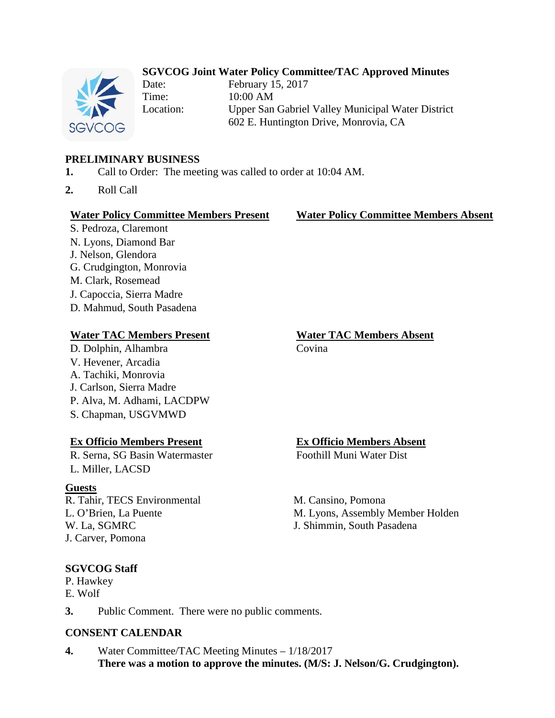# **SGVCOG Joint Water Policy Committee/TAC Approved Minutes**



Date: February 15, 2017 Time: 10:00 AM Location: Upper San Gabriel Valley Municipal Water District 602 E. Huntington Drive, Monrovia, CA

## **PRELIMINARY BUSINESS**

- **1.** Call to Order: The meeting was called to order at 10:04 AM.
- **2.** Roll Call

### **Water Policy Committee Members Present Water Policy Committee Members Absent**

S. Pedroza, Claremont N. Lyons, Diamond Bar J. Nelson, Glendora G. Crudgington, Monrovia M. Clark, Rosemead J. Capoccia, Sierra Madre D. Mahmud, South Pasadena

## **Water TAC Members Present Water TAC Members Absent**

D. Dolphin, Alhambra Covina V. Hevener, Arcadia A. Tachiki, Monrovia J. Carlson, Sierra Madre P. Alva, M. Adhami, LACDPW S. Chapman, USGVMWD

### **Ex Officio Members Present Ex Officio Members Absent**

R. Serna, SG Basin Watermaster Foothill Muni Water Dist L. Miller, LACSD

### **Guests**

R. Tahir, TECS Environmental L. O'Brien, La Puente W. La, SGMRC J. Carver, Pomona

**SGVCOG Staff** P. Hawkey E. Wolf

M. Cansino, Pomona

M. Lyons, Assembly Member Holden J. Shimmin, South Pasadena

**3.** Public Comment. There were no public comments.

## **CONSENT CALENDAR**

**4.** Water Committee/TAC Meeting Minutes – 1/18/2017 **There was a motion to approve the minutes. (M/S: J. Nelson/G. Crudgington).**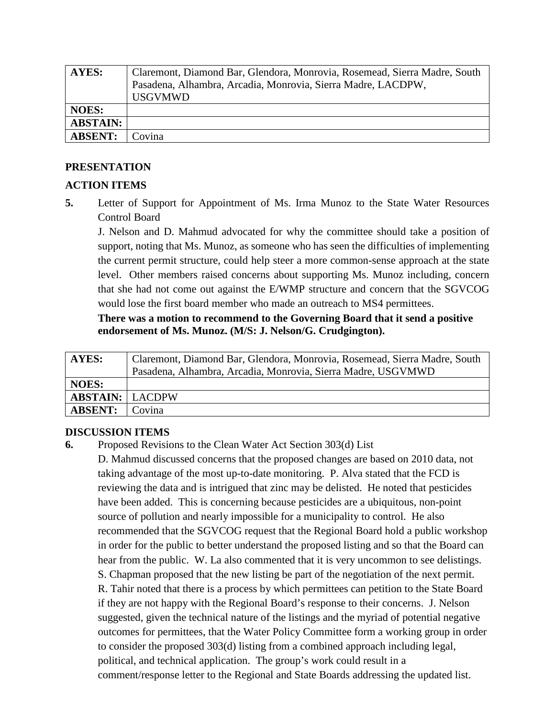| AYES:           | Claremont, Diamond Bar, Glendora, Monrovia, Rosemead, Sierra Madre, South |
|-----------------|---------------------------------------------------------------------------|
|                 | Pasadena, Alhambra, Arcadia, Monrovia, Sierra Madre, LACDPW,              |
|                 | <b>USGVMWD</b>                                                            |
| <b>NOES:</b>    |                                                                           |
| <b>ABSTAIN:</b> |                                                                           |
| <b>ABSENT:</b>  | Covina                                                                    |

## **PRESENTATION**

## **ACTION ITEMS**

**5.** Letter of Support for Appointment of Ms. Irma Munoz to the State Water Resources Control Board

J. Nelson and D. Mahmud advocated for why the committee should take a position of support, noting that Ms. Munoz, as someone who has seen the difficulties of implementing the current permit structure, could help steer a more common-sense approach at the state level. Other members raised concerns about supporting Ms. Munoz including, concern that she had not come out against the E/WMP structure and concern that the SGVCOG would lose the first board member who made an outreach to MS4 permittees.

## **There was a motion to recommend to the Governing Board that it send a positive endorsement of Ms. Munoz. (M/S: J. Nelson/G. Crudgington).**

| AYES:                  | Claremont, Diamond Bar, Glendora, Monrovia, Rosemead, Sierra Madre, South |
|------------------------|---------------------------------------------------------------------------|
|                        | Pasadena, Alhambra, Arcadia, Monrovia, Sierra Madre, USGVMWD              |
| <b>NOES:</b>           |                                                                           |
| <b>ABSTAIN: LACDPW</b> |                                                                           |
| <b>ABSENT:</b>         | l Covina                                                                  |

## **DISCUSSION ITEMS**

**6.** Proposed Revisions to the Clean Water Act Section 303(d) List

D. Mahmud discussed concerns that the proposed changes are based on 2010 data, not taking advantage of the most up-to-date monitoring. P. Alva stated that the FCD is reviewing the data and is intrigued that zinc may be delisted. He noted that pesticides have been added. This is concerning because pesticides are a ubiquitous, non-point source of pollution and nearly impossible for a municipality to control. He also recommended that the SGVCOG request that the Regional Board hold a public workshop in order for the public to better understand the proposed listing and so that the Board can hear from the public. W. La also commented that it is very uncommon to see delistings. S. Chapman proposed that the new listing be part of the negotiation of the next permit. R. Tahir noted that there is a process by which permittees can petition to the State Board if they are not happy with the Regional Board's response to their concerns. J. Nelson suggested, given the technical nature of the listings and the myriad of potential negative outcomes for permittees, that the Water Policy Committee form a working group in order to consider the proposed 303(d) listing from a combined approach including legal, political, and technical application. The group's work could result in a comment/response letter to the Regional and State Boards addressing the updated list.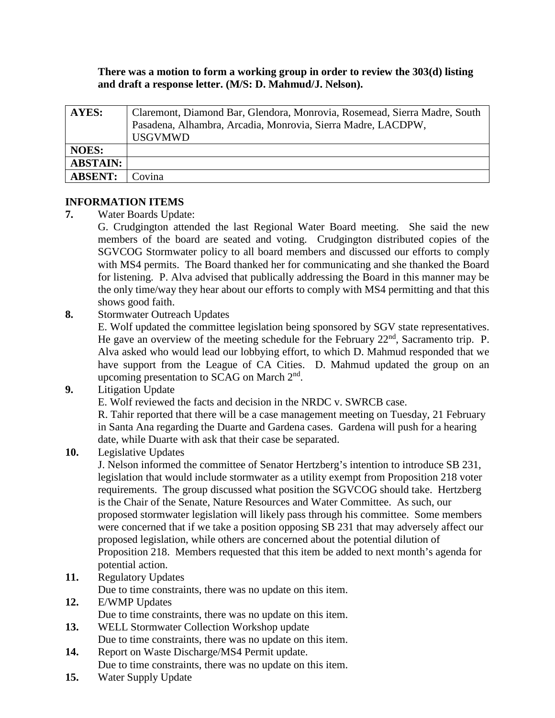**There was a motion to form a working group in order to review the 303(d) listing and draft a response letter. (M/S: D. Mahmud/J. Nelson).**

| AYES:           | Claremont, Diamond Bar, Glendora, Monrovia, Rosemead, Sierra Madre, South<br>Pasadena, Alhambra, Arcadia, Monrovia, Sierra Madre, LACDPW,<br><b>USGVMWD</b> |
|-----------------|-------------------------------------------------------------------------------------------------------------------------------------------------------------|
| <b>NOES:</b>    |                                                                                                                                                             |
| <b>ABSTAIN:</b> |                                                                                                                                                             |
| <b>ABSENT:</b>  | 'ovina                                                                                                                                                      |

## **INFORMATION ITEMS**

**7.** Water Boards Update:

G. Crudgington attended the last Regional Water Board meeting. She said the new members of the board are seated and voting. Crudgington distributed copies of the SGVCOG Stormwater policy to all board members and discussed our efforts to comply with MS4 permits. The Board thanked her for communicating and she thanked the Board for listening. P. Alva advised that publically addressing the Board in this manner may be the only time/way they hear about our efforts to comply with MS4 permitting and that this shows good faith.

**8.** Stormwater Outreach Updates

E. Wolf updated the committee legislation being sponsored by SGV state representatives. He gave an overview of the meeting schedule for the February 22<sup>nd</sup>, Sacramento trip. P. Alva asked who would lead our lobbying effort, to which D. Mahmud responded that we have support from the League of CA Cities. D. Mahmud updated the group on an upcoming presentation to SCAG on March 2nd.

**9.** Litigation Update

E. Wolf reviewed the facts and decision in the NRDC v. SWRCB case.

R. Tahir reported that there will be a case management meeting on Tuesday, 21 February in Santa Ana regarding the Duarte and Gardena cases. Gardena will push for a hearing date, while Duarte with ask that their case be separated.

**10.** Legislative Updates

J. Nelson informed the committee of Senator Hertzberg's intention to introduce SB 231, legislation that would include stormwater as a utility exempt from Proposition 218 voter requirements. The group discussed what position the SGVCOG should take. Hertzberg is the Chair of the Senate, Nature Resources and Water Committee. As such, our proposed stormwater legislation will likely pass through his committee. Some members were concerned that if we take a position opposing SB 231 that may adversely affect our proposed legislation, while others are concerned about the potential dilution of Proposition 218. Members requested that this item be added to next month's agenda for potential action.

**11.** Regulatory Updates

Due to time constraints, there was no update on this item.

- **12.** E/WMP Updates Due to time constraints, there was no update on this item.
- **13.** WELL Stormwater Collection Workshop update Due to time constraints, there was no update on this item.
- **14.** Report on Waste Discharge/MS4 Permit update. Due to time constraints, there was no update on this item.
- **15.** Water Supply Update